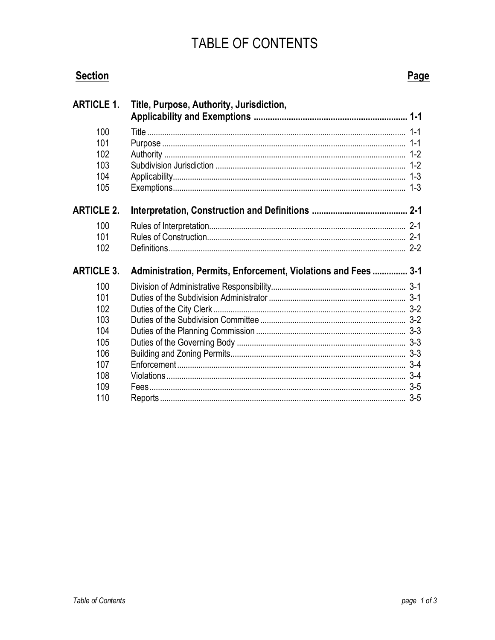## TABLE OF CONTENTS

| <b>Section</b>                         |                                                                | Page |
|----------------------------------------|----------------------------------------------------------------|------|
| <b>ARTICLE 1.</b>                      | Title, Purpose, Authority, Jurisdiction,                       |      |
| 100<br>101<br>102<br>103<br>104<br>105 |                                                                |      |
| <b>ARTICLE 2.</b>                      |                                                                |      |
| 100<br>101<br>102                      |                                                                |      |
| <b>ARTICLE 3.</b>                      | Administration, Permits, Enforcement, Violations and Fees  3-1 |      |
| 100<br>101                             |                                                                |      |
| 102<br>103                             |                                                                |      |
| 104<br>105                             |                                                                |      |
| 106<br>107                             |                                                                |      |
| 108<br>109                             |                                                                |      |
| 110                                    |                                                                |      |

**Table of Contents**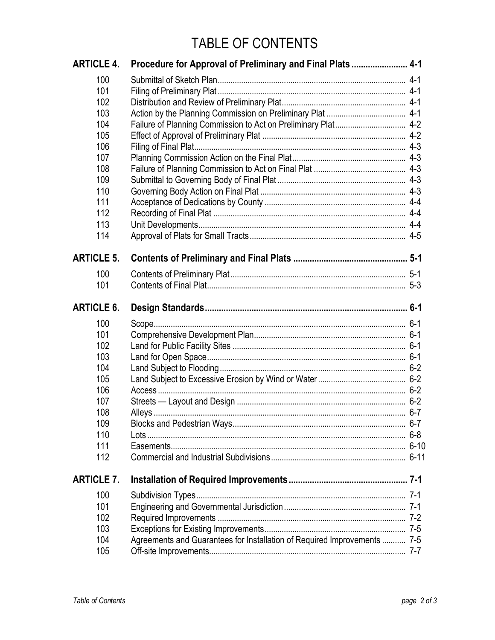## TABLE OF CONTENTS

| <b>ARTICLE 4.</b> | Procedure for Approval of Preliminary and Final Plats  4-1               |  |
|-------------------|--------------------------------------------------------------------------|--|
| 100               |                                                                          |  |
| 101               |                                                                          |  |
| 102               |                                                                          |  |
| 103               |                                                                          |  |
| 104               |                                                                          |  |
| 105               |                                                                          |  |
| 106               |                                                                          |  |
| 107               |                                                                          |  |
| 108               |                                                                          |  |
| 109               |                                                                          |  |
| 110               |                                                                          |  |
| 111               |                                                                          |  |
| 112               |                                                                          |  |
| 113               |                                                                          |  |
| 114               |                                                                          |  |
| <b>ARTICLE 5.</b> |                                                                          |  |
| 100               |                                                                          |  |
| 101               |                                                                          |  |
| <b>ARTICLE 6.</b> |                                                                          |  |
| 100               |                                                                          |  |
| 101               |                                                                          |  |
| 102               |                                                                          |  |
| 103               |                                                                          |  |
| 104               |                                                                          |  |
| 105               |                                                                          |  |
| 106               |                                                                          |  |
| 107               |                                                                          |  |
| 108               |                                                                          |  |
| 109               |                                                                          |  |
| 110               |                                                                          |  |
| 111               |                                                                          |  |
| 112               |                                                                          |  |
| <b>ARTICLE 7.</b> |                                                                          |  |
| 100               |                                                                          |  |
| 101               |                                                                          |  |
| 102               |                                                                          |  |
| 103               |                                                                          |  |
| 104               | Agreements and Guarantees for Installation of Required Improvements  7-5 |  |
| 105               |                                                                          |  |